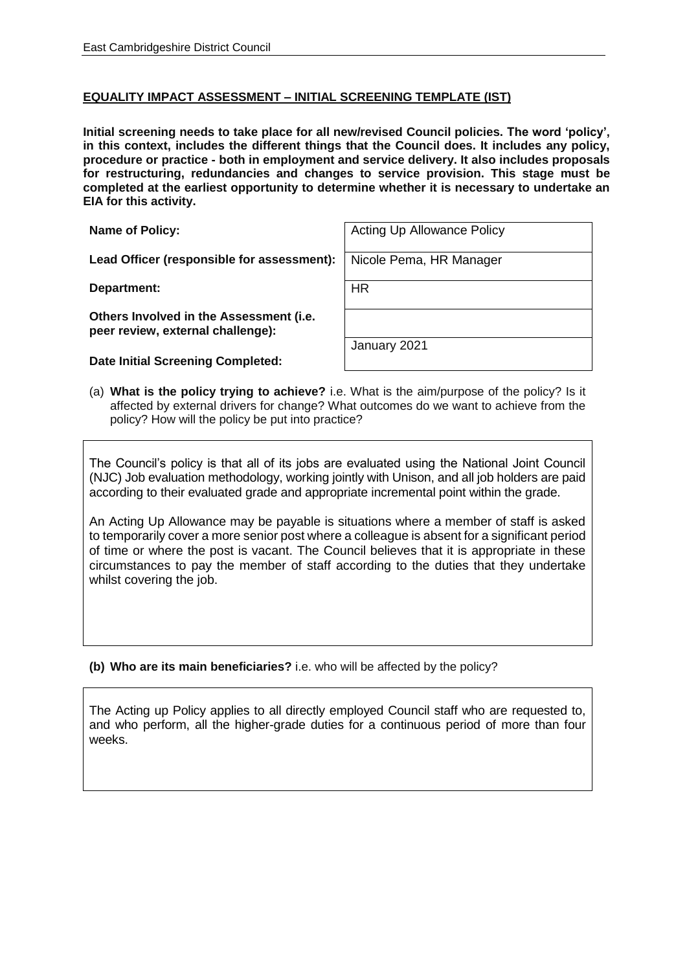## **EQUALITY IMPACT ASSESSMENT – INITIAL SCREENING TEMPLATE (IST)**

**Initial screening needs to take place for all new/revised Council policies. The word 'policy', in this context, includes the different things that the Council does. It includes any policy, procedure or practice - both in employment and service delivery. It also includes proposals for restructuring, redundancies and changes to service provision. This stage must be completed at the earliest opportunity to determine whether it is necessary to undertake an EIA for this activity.**

Lead Officer (responsible for assessment): Nicole Pema, HR Manager

**Department:** HR

**Others Involved in the Assessment (i.e. peer review, external challenge):**

**Date Initial Screening Completed:**

**Name of Policy:** Acting Up Allowance Policy

January 2021

(a) **What is the policy trying to achieve?** i.e. What is the aim/purpose of the policy? Is it affected by external drivers for change? What outcomes do we want to achieve from the policy? How will the policy be put into practice?

The Council's policy is that all of its jobs are evaluated using the National Joint Council (NJC) Job evaluation methodology, working jointly with Unison, and all job holders are paid according to their evaluated grade and appropriate incremental point within the grade.

An Acting Up Allowance may be payable is situations where a member of staff is asked to temporarily cover a more senior post where a colleague is absent for a significant period of time or where the post is vacant. The Council believes that it is appropriate in these circumstances to pay the member of staff according to the duties that they undertake whilst covering the job.

**(b) Who are its main beneficiaries?** i.e. who will be affected by the policy?

The Acting up Policy applies to all directly employed Council staff who are requested to, and who perform, all the higher-grade duties for a continuous period of more than four weeks.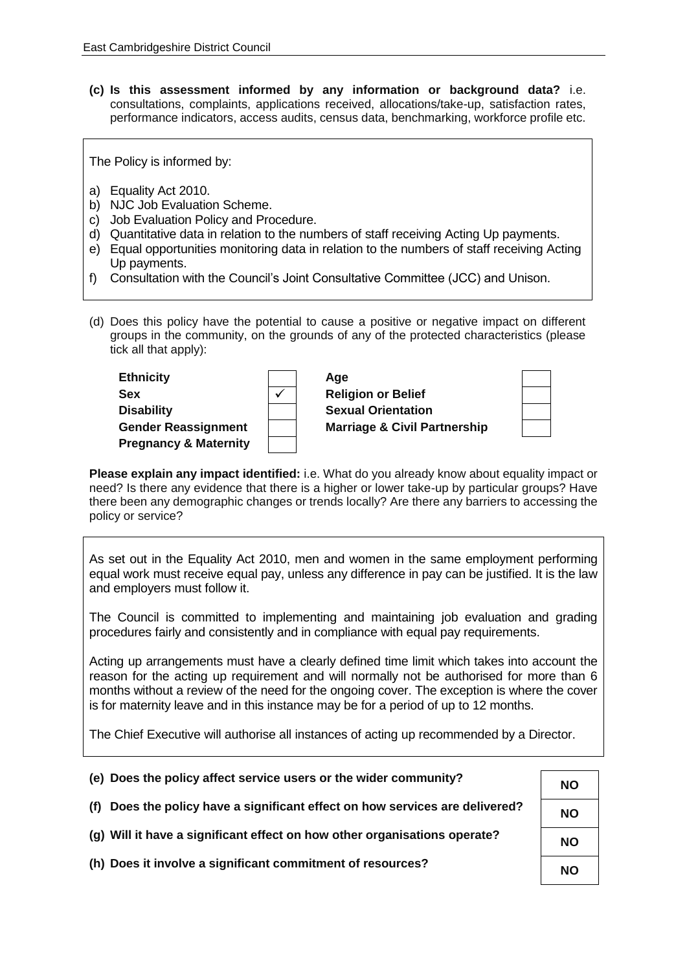**(c) Is this assessment informed by any information or background data?** i.e. consultations, complaints, applications received, allocations/take-up, satisfaction rates, performance indicators, access audits, census data, benchmarking, workforce profile etc.

The Policy is informed by:

- a) Equality Act 2010.
- b) NJC Job Evaluation Scheme.
- c) Job Evaluation Policy and Procedure.
- d) Quantitative data in relation to the numbers of staff receiving Acting Up payments.
- e) Equal opportunities monitoring data in relation to the numbers of staff receiving Acting Up payments.
- f) Consultation with the Council's Joint Consultative Committee (JCC) and Unison.
- (d) Does this policy have the potential to cause a positive or negative impact on different groups in the community, on the grounds of any of the protected characteristics (please tick all that apply):

| <b>Ethnicity</b>                 | Age                                     |  |
|----------------------------------|-----------------------------------------|--|
| <b>Sex</b>                       | <b>Religion or Belief</b>               |  |
| <b>Disability</b>                | <b>Sexual Orientation</b>               |  |
| <b>Gender Reassignment</b>       | <b>Marriage &amp; Civil Partnership</b> |  |
| <b>Pregnancy &amp; Maternity</b> |                                         |  |

**Please explain any impact identified:** i.e. What do you already know about equality impact or need? Is there any evidence that there is a higher or lower take-up by particular groups? Have there been any demographic changes or trends locally? Are there any barriers to accessing the policy or service?

As set out in the Equality Act 2010, men and women in the same employment performing equal work must receive equal pay, unless any difference in pay can be justified. It is the law and employers must follow it.

The Council is committed to implementing and maintaining job evaluation and grading procedures fairly and consistently and in compliance with equal pay requirements.

Acting up arrangements must have a clearly defined time limit which takes into account the reason for the acting up requirement and will normally not be authorised for more than 6 months without a review of the need for the ongoing cover. The exception is where the cover is for maternity leave and in this instance may be for a period of up to 12 months.

The Chief Executive will authorise all instances of acting up recommended by a Director.

| (e) Does the policy affect service users or the wider community?             | <b>NO</b> |
|------------------------------------------------------------------------------|-----------|
| (f) Does the policy have a significant effect on how services are delivered? | <b>NO</b> |
| (g) Will it have a significant effect on how other organisations operate?    | <b>NO</b> |
| (h) Does it involve a significant commitment of resources?                   | <b>NO</b> |